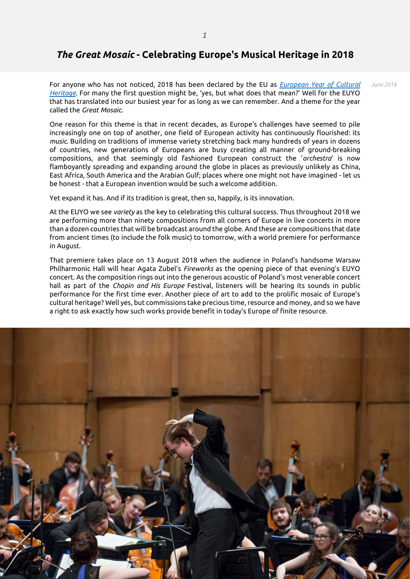## *The Great Mosaic* **- Celebrating Europe's Musical Heritage in 2018**

For anyone who has not noticed, 2018 has been declared by the EU as *[European Year of Cultural](http://europa.eu/cultural-heritage/)  [Heritage.](http://europa.eu/cultural-heritage/)* For many the first question might be, 'yes, but what does that mean?' Well for the EUYO that has translated into our busiest year for as long as we can remember. And a theme for the year called the *Great Mosaic.*

One reason for this theme is that in recent decades, as Europe's challenges have seemed to pile increasingly one on top of another, one field of European activity has continuously flourished: its *music*. Building on traditions of immense variety stretching back many hundreds of years in dozens of countries, new generations of Europeans are busy creating all manner of ground-breaking compositions, and that seemingly old fashioned European construct the '*orchestra*' is now flamboyantly spreading and expanding around the globe in places as previously unlikely as China, East Africa, South America and the Arabian Gulf; places where one might not have imagined - let us be honest - that a European invention would be such a welcome addition.

Yet expand it has. And if its tradition is great, then so, happily, is its innovation.

At the EUYO we see *variety* as the key to celebrating this cultural success. Thus throughout 2018 we are performing more than ninety compositions from all corners of Europe in live concerts in more than a dozen countries that will be broadcast around the globe. And these are compositions that date from ancient times (to include the folk music) to tomorrow, with a world premiere for performance in August.

That premiere takes place on 13 August 2018 when the audience in Poland's handsome Warsaw Philharmonic Hall will hear Agata Zubel's *Fireworks* as the opening piece of that evening's EUYO concert. As the composition rings out into the generous acoustic of Poland's most venerable concert hall as part of the *Chopin and His Europe* Festival, listeners will be hearing its sounds in public performance for the first time ever. Another piece of art to add to the prolific mosaic of Europe's cultural heritage? Well yes, but commissions take precious time, resource and money, and so we have a right to ask exactly how such works provide benefit in today's Europe of finite resource.



*June 2018*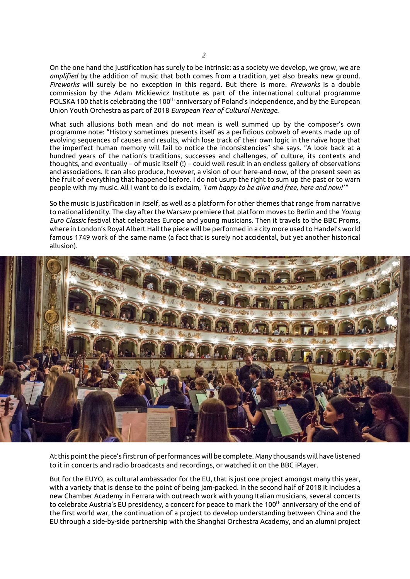On the one hand the justification has surely to be intrinsic: as a society we develop, we grow, we are *amplified* by the addition of music that both comes from a tradition, yet also breaks new ground. *Fireworks* will surely be no exception in this regard. But there is more. *Fireworks* is a double commission by the Adam Mickiewicz Institute as part of the international cultural programme POLSKA 100 that is celebrating the 100<sup>th</sup> anniversary of Poland's independence, and by the European Union Youth Orchestra as part of 2018 *European Year of Cultural Heritage.*

What such allusions both mean and do not mean is well summed up by the composer's own programme note: "History sometimes presents itself as a perfidious cobweb of events made up of evolving sequences of causes and results, which lose track of their own logic in the naïve hope that the imperfect human memory will fail to notice the inconsistencies" she says. "A look back at a hundred years of the nation's traditions, successes and challenges, of culture, its contexts and thoughts, and eventually – of music itself (!) – could well result in an endless gallery of observations and associations. It can also produce, however, a vision of our here-and-now, of the present seen as the fruit of everything that happened before. I do not usurp the right to sum up the past or to warn people with my music. All I want to do is exclaim, *'I am happy to be alive and free, here and now!'* "

So the music is justification in itself, as well as a platform for other themes that range from narrative to national identity. The day after the Warsaw premiere that platform moves to Berlin and the *Young Euro Classic* festival that celebrates Europe and young musicians. Then it travels to the BBC Proms, where in London's Royal Albert Hall the piece will be performed in a city more used to Handel's world famous 1749 work of the same name (a fact that is surely not accidental, but yet another historical allusion).



At this point the piece's first run of performances will be complete. Many thousands will have listened to it in concerts and radio broadcasts and recordings, or watched it on the BBC iPlayer.

But for the EUYO, as cultural ambassador for the EU, that is just one project amongst many this year, with a variety that is dense to the point of being jam-packed. In the second half of 2018 It includes a new Chamber Academy in Ferrara with outreach work with young Italian musicians, several concerts to celebrate Austria's EU presidency, a concert for peace to mark the 100<sup>th</sup> anniversary of the end of the first world war, the continuation of a project to develop understanding between China and the EU through a side-by-side partnership with the Shanghai Orchestra Academy, and an alumni project